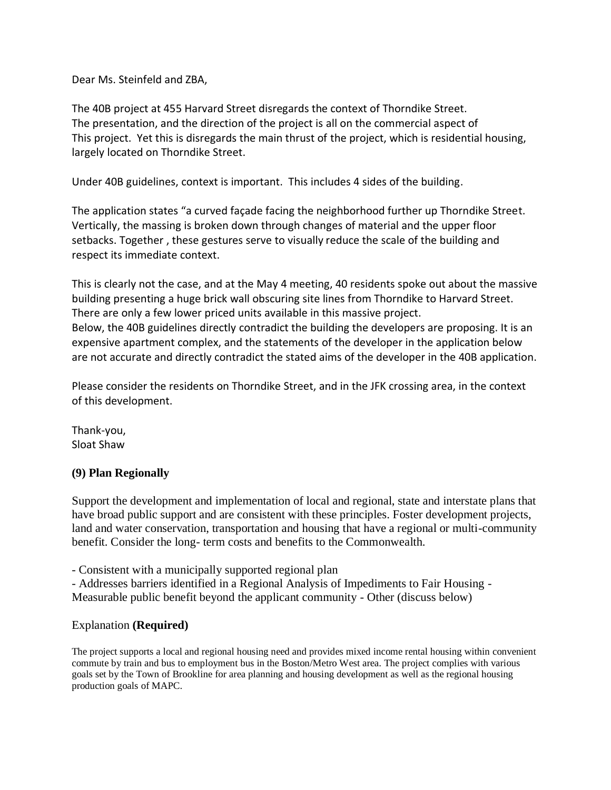Dear Ms. Steinfeld and ZBA,

The 40B project at 455 Harvard Street disregards the context of Thorndike Street. The presentation, and the direction of the project is all on the commercial aspect of This project. Yet this is disregards the main thrust of the project, which is residential housing, largely located on Thorndike Street.

Under 40B guidelines, context is important. This includes 4 sides of the building.

The application states "a curved façade facing the neighborhood further up Thorndike Street. Vertically, the massing is broken down through changes of material and the upper floor setbacks. Together , these gestures serve to visually reduce the scale of the building and respect its immediate context.

This is clearly not the case, and at the May 4 meeting, 40 residents spoke out about the massive building presenting a huge brick wall obscuring site lines from Thorndike to Harvard Street. There are only a few lower priced units available in this massive project. Below, the 40B guidelines directly contradict the building the developers are proposing. It is an expensive apartment complex, and the statements of the developer in the application below are not accurate and directly contradict the stated aims of the developer in the 40B application.

Please consider the residents on Thorndike Street, and in the JFK crossing area, in the context of this development.

Thank-you, Sloat Shaw

## **(9) Plan Regionally**

Support the development and implementation of local and regional, state and interstate plans that have broad public support and are consistent with these principles. Foster development projects, land and water conservation, transportation and housing that have a regional or multi-community benefit. Consider the long- term costs and benefits to the Commonwealth.

- Consistent with a municipally supported regional plan

- Addresses barriers identified in a Regional Analysis of Impediments to Fair Housing - Measurable public benefit beyond the applicant community - Other (discuss below)

## Explanation **(Required)**

The project supports a local and regional housing need and provides mixed income rental housing within convenient commute by train and bus to employment bus in the Boston/Metro West area. The project complies with various goals set by the Town of Brookline for area planning and housing development as well as the regional housing production goals of MAPC.